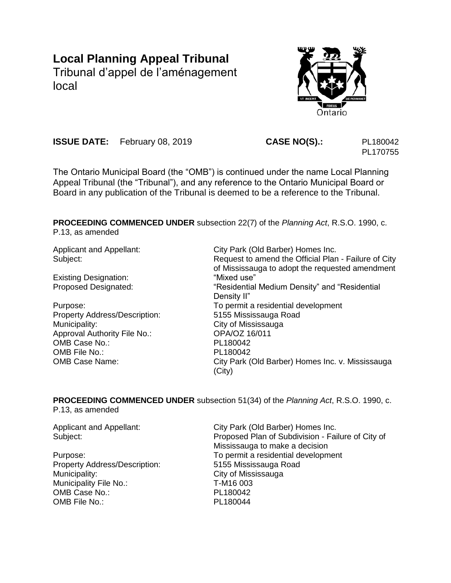# **Local Planning Appeal Tribunal**

Tribunal d'appel de l'aménagement local



**ISSUE DATE:** February 08, 2019 **CASE NO(S).:** PL180042

PL170755

The Ontario Municipal Board (the "OMB") is continued under the name Local Planning Appeal Tribunal (the "Tribunal"), and any reference to the Ontario Municipal Board or Board in any publication of the Tribunal is deemed to be a reference to the Tribunal.

**PROCEEDING COMMENCED UNDER** subsection 22(7) of the *Planning Act*, R.S.O. 1990, c. P.13, as amended

Existing Designation: "Mixed use"

Property Address/Description: 5155 Mississauga Road Municipality: City of Mississauga Approval Authority File No.: OPA/OZ 16/011 OMB Case No.: PL180042 OMB File No.: PL180042

Applicant and Appellant: City Park (Old Barber) Homes Inc. Subject: Subject: Subject: Request to amend the Official Plan - Failure of City of Mississauga to adopt the requested amendment Proposed Designated: "The sidential Medium Density" and "Residential Density II" Purpose: To permit a residential development OMB Case Name: City Park (Old Barber) Homes Inc. v. Mississauga (City)

**PROCEEDING COMMENCED UNDER** subsection 51(34) of the *Planning Act*, R.S.O. 1990, c. P.13, as amended

Applicant and Appellant: City Park (Old Barber) Homes Inc. Subject: Proposed Plan of Subdivision - Failure of City of Mississauga to make a decision Purpose: To permit a residential development Property Address/Description: 5155 Mississauga Road Municipality: City of Mississauga Municipality File No.: T-M16 003 OMB Case No.: PL180042 OMB File No.: PL180044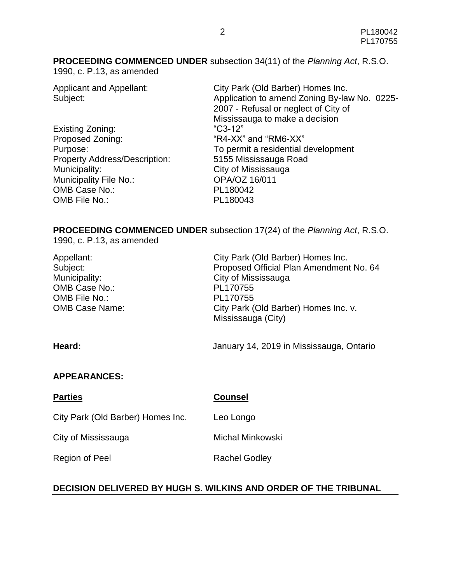**PROCEEDING COMMENCED UNDER** subsection 34(11) of the *Planning Act*, R.S.O.

1990, c. P.13, as amended

Existing Zoning: "C3-12" Proposed Zoning: The South of "R4-XX" and "RM6-XX" Property Address/Description: 5155 Mississauga Road Municipality: City of Mississauga Municipality File No.: **OPA/OZ 16/011** OMB Case No.: PL180042 OMB File No.: PL180043

Applicant and Appellant: City Park (Old Barber) Homes Inc. Subject: Subject: Application to amend Zoning By-law No. 0225-2007 - Refusal or neglect of City of Mississauga to make a decision Purpose: To permit a residential development

**PROCEEDING COMMENCED UNDER** subsection 17(24) of the *Planning Act*, R.S.O. 1990, c. P.13, as amended

Appellant: City Park (Old Barber) Homes Inc. Subject: Proposed Official Plan Amendment No. 64 Municipality: City of Mississauga OMB Case No.: PL170755 OMB File No.: PL170755 OMB Case Name: City Park (Old Barber) Homes Inc. v. Mississauga (City)

**Heard:** January 14, 2019 in Mississauga, Ontario

### **APPEARANCES:**

| <b>Parties</b>                    | <b>Counsel</b>       |
|-----------------------------------|----------------------|
| City Park (Old Barber) Homes Inc. | Leo Longo            |
| City of Mississauga               | Michal Minkowski     |
| Region of Peel                    | <b>Rachel Godley</b> |

## **DECISION DELIVERED BY HUGH S. WILKINS AND ORDER OF THE TRIBUNAL**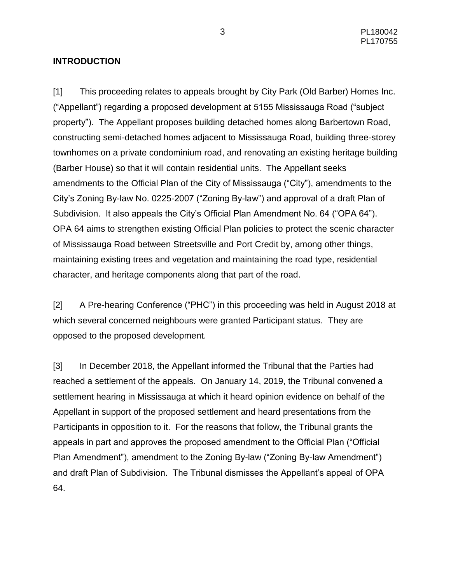### **INTRODUCTION**

[1] This proceeding relates to appeals brought by City Park (Old Barber) Homes Inc. ("Appellant") regarding a proposed development at 5155 Mississauga Road ("subject property"). The Appellant proposes building detached homes along Barbertown Road, constructing semi-detached homes adjacent to Mississauga Road, building three-storey townhomes on a private condominium road, and renovating an existing heritage building (Barber House) so that it will contain residential units. The Appellant seeks amendments to the Official Plan of the City of Mississauga ("City"), amendments to the City's Zoning By-law No. 0225-2007 ("Zoning By-law") and approval of a draft Plan of Subdivision. It also appeals the City's Official Plan Amendment No. 64 ("OPA 64"). OPA 64 aims to strengthen existing Official Plan policies to protect the scenic character of Mississauga Road between Streetsville and Port Credit by, among other things, maintaining existing trees and vegetation and maintaining the road type, residential character, and heritage components along that part of the road.

[2] A Pre-hearing Conference ("PHC") in this proceeding was held in August 2018 at which several concerned neighbours were granted Participant status. They are opposed to the proposed development.

[3] In December 2018, the Appellant informed the Tribunal that the Parties had reached a settlement of the appeals. On January 14, 2019, the Tribunal convened a settlement hearing in Mississauga at which it heard opinion evidence on behalf of the Appellant in support of the proposed settlement and heard presentations from the Participants in opposition to it. For the reasons that follow, the Tribunal grants the appeals in part and approves the proposed amendment to the Official Plan ("Official Plan Amendment"), amendment to the Zoning By-law ("Zoning By-law Amendment") and draft Plan of Subdivision. The Tribunal dismisses the Appellant's appeal of OPA 64.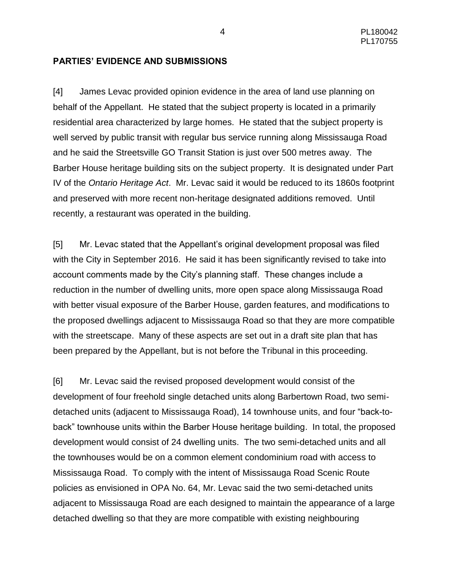### **PARTIES' EVIDENCE AND SUBMISSIONS**

[4] James Levac provided opinion evidence in the area of land use planning on behalf of the Appellant. He stated that the subject property is located in a primarily residential area characterized by large homes. He stated that the subject property is well served by public transit with regular bus service running along Mississauga Road and he said the Streetsville GO Transit Station is just over 500 metres away. The Barber House heritage building sits on the subject property. It is designated under Part IV of the *Ontario Heritage Act*. Mr. Levac said it would be reduced to its 1860s footprint and preserved with more recent non-heritage designated additions removed. Until recently, a restaurant was operated in the building.

[5] Mr. Levac stated that the Appellant's original development proposal was filed with the City in September 2016. He said it has been significantly revised to take into account comments made by the City's planning staff. These changes include a reduction in the number of dwelling units, more open space along Mississauga Road with better visual exposure of the Barber House, garden features, and modifications to the proposed dwellings adjacent to Mississauga Road so that they are more compatible with the streetscape. Many of these aspects are set out in a draft site plan that has been prepared by the Appellant, but is not before the Tribunal in this proceeding.

[6] Mr. Levac said the revised proposed development would consist of the development of four freehold single detached units along Barbertown Road, two semidetached units (adjacent to Mississauga Road), 14 townhouse units, and four "back-toback" townhouse units within the Barber House heritage building. In total, the proposed development would consist of 24 dwelling units. The two semi-detached units and all the townhouses would be on a common element condominium road with access to Mississauga Road. To comply with the intent of Mississauga Road Scenic Route policies as envisioned in OPA No. 64, Mr. Levac said the two semi-detached units adjacent to Mississauga Road are each designed to maintain the appearance of a large detached dwelling so that they are more compatible with existing neighbouring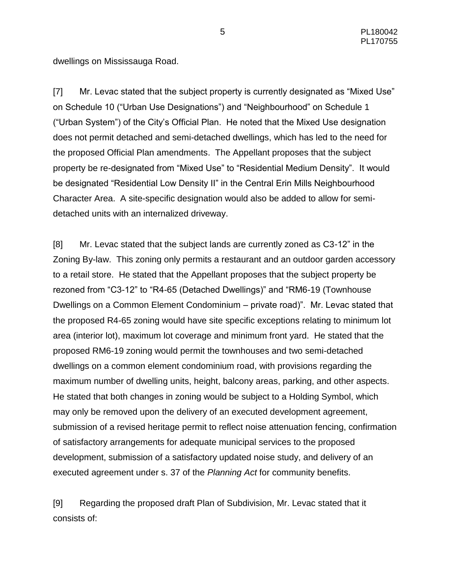dwellings on Mississauga Road.

[7] Mr. Levac stated that the subject property is currently designated as "Mixed Use" on Schedule 10 ("Urban Use Designations") and "Neighbourhood" on Schedule 1 ("Urban System") of the City's Official Plan. He noted that the Mixed Use designation does not permit detached and semi-detached dwellings, which has led to the need for the proposed Official Plan amendments. The Appellant proposes that the subject property be re-designated from "Mixed Use" to "Residential Medium Density". It would be designated "Residential Low Density II" in the Central Erin Mills Neighbourhood Character Area. A site-specific designation would also be added to allow for semidetached units with an internalized driveway.

[8] Mr. Levac stated that the subject lands are currently zoned as C3-12" in the Zoning By-law. This zoning only permits a restaurant and an outdoor garden accessory to a retail store. He stated that the Appellant proposes that the subject property be rezoned from "C3-12" to "R4-65 (Detached Dwellings)" and "RM6-19 (Townhouse Dwellings on a Common Element Condominium – private road)". Mr. Levac stated that the proposed R4-65 zoning would have site specific exceptions relating to minimum lot area (interior lot), maximum lot coverage and minimum front yard. He stated that the proposed RM6-19 zoning would permit the townhouses and two semi-detached dwellings on a common element condominium road, with provisions regarding the maximum number of dwelling units, height, balcony areas, parking, and other aspects. He stated that both changes in zoning would be subject to a Holding Symbol, which may only be removed upon the delivery of an executed development agreement, submission of a revised heritage permit to reflect noise attenuation fencing, confirmation of satisfactory arrangements for adequate municipal services to the proposed development, submission of a satisfactory updated noise study, and delivery of an executed agreement under s. 37 of the *Planning Act* for community benefits.

[9] Regarding the proposed draft Plan of Subdivision, Mr. Levac stated that it consists of: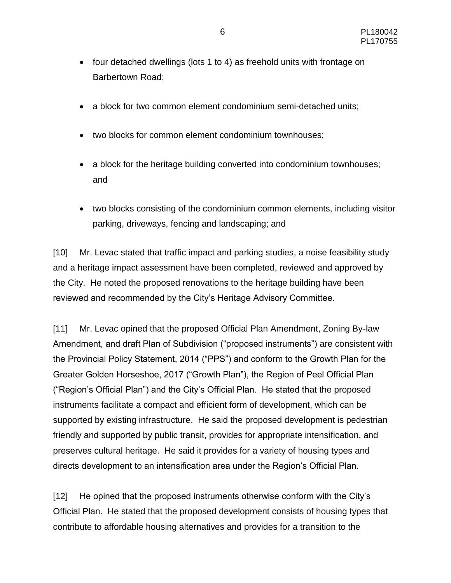- four detached dwellings (lots 1 to 4) as freehold units with frontage on Barbertown Road;
- a block for two common element condominium semi-detached units:
- two blocks for common element condominium townhouses;
- a block for the heritage building converted into condominium townhouses; and
- two blocks consisting of the condominium common elements, including visitor parking, driveways, fencing and landscaping; and

[10] Mr. Levac stated that traffic impact and parking studies, a noise feasibility study and a heritage impact assessment have been completed, reviewed and approved by the City. He noted the proposed renovations to the heritage building have been reviewed and recommended by the City's Heritage Advisory Committee.

[11] Mr. Levac opined that the proposed Official Plan Amendment, Zoning By-law Amendment, and draft Plan of Subdivision ("proposed instruments") are consistent with the Provincial Policy Statement, 2014 ("PPS") and conform to the Growth Plan for the Greater Golden Horseshoe, 2017 ("Growth Plan"), the Region of Peel Official Plan ("Region's Official Plan") and the City's Official Plan. He stated that the proposed instruments facilitate a compact and efficient form of development, which can be supported by existing infrastructure. He said the proposed development is pedestrian friendly and supported by public transit, provides for appropriate intensification, and preserves cultural heritage. He said it provides for a variety of housing types and directs development to an intensification area under the Region's Official Plan.

[12] He opined that the proposed instruments otherwise conform with the City's Official Plan. He stated that the proposed development consists of housing types that contribute to affordable housing alternatives and provides for a transition to the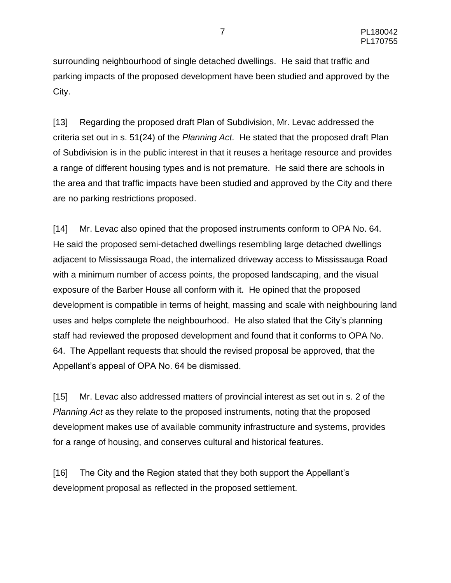surrounding neighbourhood of single detached dwellings. He said that traffic and parking impacts of the proposed development have been studied and approved by the City.

[13] Regarding the proposed draft Plan of Subdivision, Mr. Levac addressed the criteria set out in s. 51(24) of the *Planning Act*. He stated that the proposed draft Plan of Subdivision is in the public interest in that it reuses a heritage resource and provides a range of different housing types and is not premature. He said there are schools in the area and that traffic impacts have been studied and approved by the City and there are no parking restrictions proposed.

[14] Mr. Levac also opined that the proposed instruments conform to OPA No. 64. He said the proposed semi-detached dwellings resembling large detached dwellings adjacent to Mississauga Road, the internalized driveway access to Mississauga Road with a minimum number of access points, the proposed landscaping, and the visual exposure of the Barber House all conform with it. He opined that the proposed development is compatible in terms of height, massing and scale with neighbouring land uses and helps complete the neighbourhood. He also stated that the City's planning staff had reviewed the proposed development and found that it conforms to OPA No. 64. The Appellant requests that should the revised proposal be approved, that the Appellant's appeal of OPA No. 64 be dismissed.

[15] Mr. Levac also addressed matters of provincial interest as set out in s. 2 of the *Planning Act* as they relate to the proposed instruments, noting that the proposed development makes use of available community infrastructure and systems, provides for a range of housing, and conserves cultural and historical features.

[16] The City and the Region stated that they both support the Appellant's development proposal as reflected in the proposed settlement.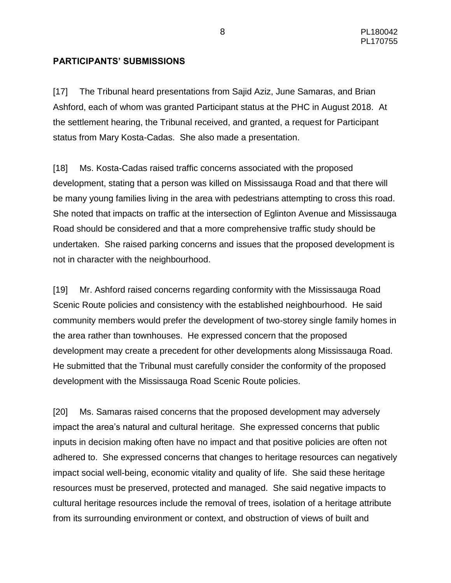### **PARTICIPANTS' SUBMISSIONS**

[17] The Tribunal heard presentations from Sajid Aziz, June Samaras, and Brian Ashford, each of whom was granted Participant status at the PHC in August 2018. At the settlement hearing, the Tribunal received, and granted, a request for Participant status from Mary Kosta-Cadas. She also made a presentation.

[18] Ms. Kosta-Cadas raised traffic concerns associated with the proposed development, stating that a person was killed on Mississauga Road and that there will be many young families living in the area with pedestrians attempting to cross this road. She noted that impacts on traffic at the intersection of Eglinton Avenue and Mississauga Road should be considered and that a more comprehensive traffic study should be undertaken. She raised parking concerns and issues that the proposed development is not in character with the neighbourhood.

[19] Mr. Ashford raised concerns regarding conformity with the Mississauga Road Scenic Route policies and consistency with the established neighbourhood. He said community members would prefer the development of two-storey single family homes in the area rather than townhouses. He expressed concern that the proposed development may create a precedent for other developments along Mississauga Road. He submitted that the Tribunal must carefully consider the conformity of the proposed development with the Mississauga Road Scenic Route policies.

[20] Ms. Samaras raised concerns that the proposed development may adversely impact the area's natural and cultural heritage. She expressed concerns that public inputs in decision making often have no impact and that positive policies are often not adhered to. She expressed concerns that changes to heritage resources can negatively impact social well-being, economic vitality and quality of life. She said these heritage resources must be preserved, protected and managed. She said negative impacts to cultural heritage resources include the removal of trees, isolation of a heritage attribute from its surrounding environment or context, and obstruction of views of built and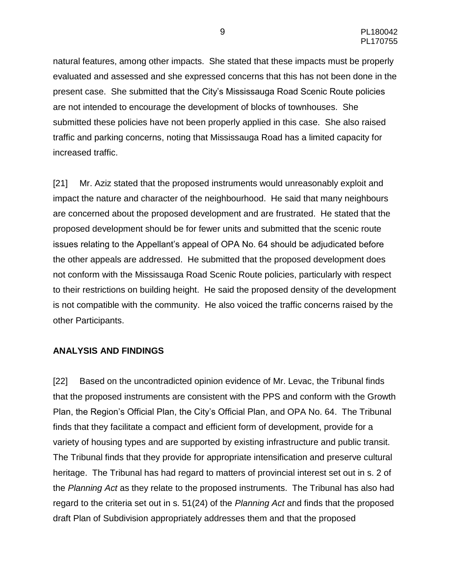natural features, among other impacts. She stated that these impacts must be properly evaluated and assessed and she expressed concerns that this has not been done in the present case. She submitted that the City's Mississauga Road Scenic Route policies are not intended to encourage the development of blocks of townhouses. She submitted these policies have not been properly applied in this case. She also raised traffic and parking concerns, noting that Mississauga Road has a limited capacity for increased traffic.

[21] Mr. Aziz stated that the proposed instruments would unreasonably exploit and impact the nature and character of the neighbourhood. He said that many neighbours are concerned about the proposed development and are frustrated. He stated that the proposed development should be for fewer units and submitted that the scenic route issues relating to the Appellant's appeal of OPA No. 64 should be adjudicated before the other appeals are addressed. He submitted that the proposed development does not conform with the Mississauga Road Scenic Route policies, particularly with respect to their restrictions on building height. He said the proposed density of the development is not compatible with the community. He also voiced the traffic concerns raised by the other Participants.

### **ANALYSIS AND FINDINGS**

[22] Based on the uncontradicted opinion evidence of Mr. Levac, the Tribunal finds that the proposed instruments are consistent with the PPS and conform with the Growth Plan, the Region's Official Plan, the City's Official Plan, and OPA No. 64. The Tribunal finds that they facilitate a compact and efficient form of development, provide for a variety of housing types and are supported by existing infrastructure and public transit. The Tribunal finds that they provide for appropriate intensification and preserve cultural heritage. The Tribunal has had regard to matters of provincial interest set out in s. 2 of the *Planning Act* as they relate to the proposed instruments. The Tribunal has also had regard to the criteria set out in s. 51(24) of the *Planning Act* and finds that the proposed draft Plan of Subdivision appropriately addresses them and that the proposed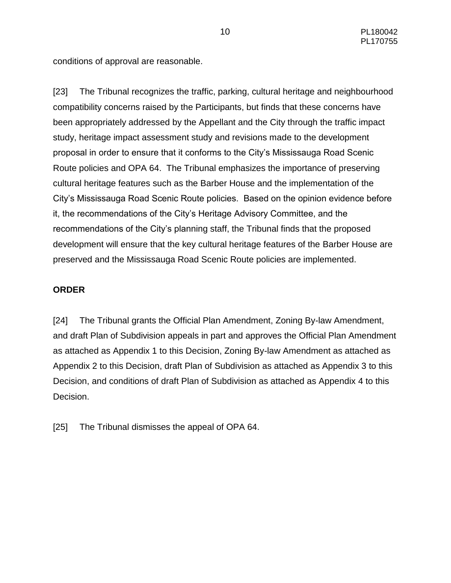conditions of approval are reasonable.

[23] The Tribunal recognizes the traffic, parking, cultural heritage and neighbourhood compatibility concerns raised by the Participants, but finds that these concerns have been appropriately addressed by the Appellant and the City through the traffic impact study, heritage impact assessment study and revisions made to the development proposal in order to ensure that it conforms to the City's Mississauga Road Scenic Route policies and OPA 64. The Tribunal emphasizes the importance of preserving cultural heritage features such as the Barber House and the implementation of the City's Mississauga Road Scenic Route policies. Based on the opinion evidence before it, the recommendations of the City's Heritage Advisory Committee, and the recommendations of the City's planning staff, the Tribunal finds that the proposed development will ensure that the key cultural heritage features of the Barber House are preserved and the Mississauga Road Scenic Route policies are implemented.

### **ORDER**

[24] The Tribunal grants the Official Plan Amendment, Zoning By-law Amendment, and draft Plan of Subdivision appeals in part and approves the Official Plan Amendment as attached as Appendix 1 to this Decision, Zoning By-law Amendment as attached as Appendix 2 to this Decision, draft Plan of Subdivision as attached as Appendix 3 to this Decision, and conditions of draft Plan of Subdivision as attached as Appendix 4 to this Decision.

[25] The Tribunal dismisses the appeal of OPA 64.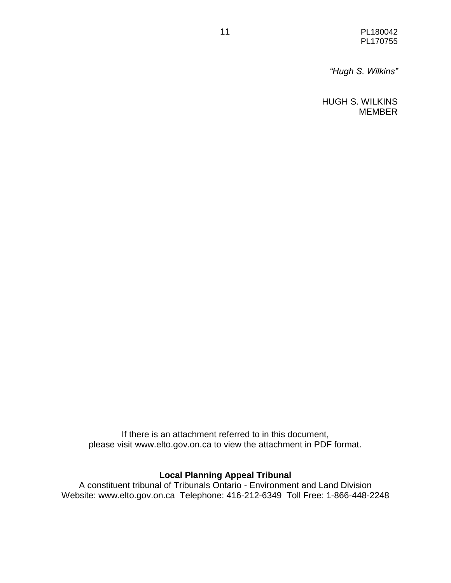11 PL180042 PL170755

*"Hugh S. Wilkins"*

HUGH S. WILKINS MEMBER

If there is an attachment referred to in this document, please visit www.elto.gov.on.ca to view the attachment in PDF format.

## **Local Planning Appeal Tribunal**

A constituent tribunal of Tribunals Ontario - Environment and Land Division Website: www.elto.gov.on.ca Telephone: 416-212-6349 Toll Free: 1-866-448-2248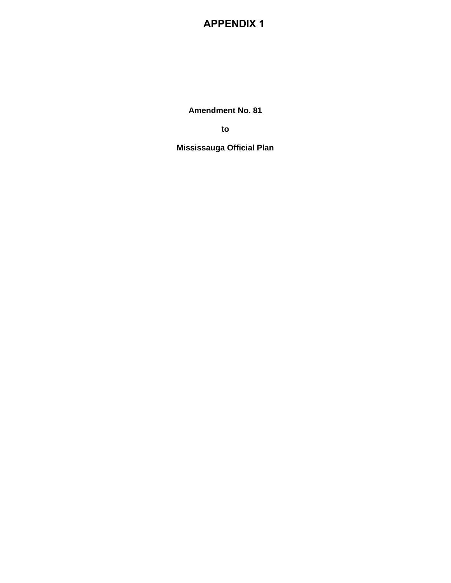## **APPENDIX 1**

**Amendment No. 81**

**to**

**Mississauga Official Plan**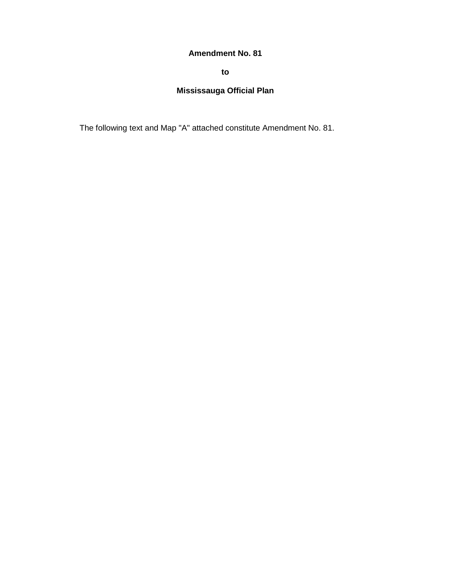### **Amendment No. 81**

**to**

## **Mississauga Official Plan**

The following text and Map "A" attached constitute Amendment No. 81.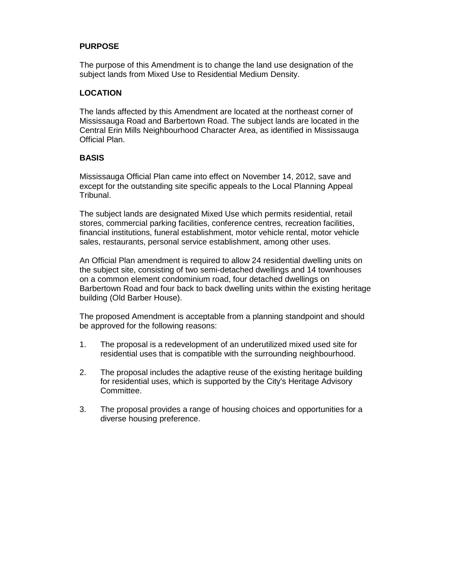### **PURPOSE**

The purpose of this Amendment is to change the land use designation of the subject lands from Mixed Use to Residential Medium Density.

### **LOCATION**

The lands affected by this Amendment are located at the northeast corner of Mississauga Road and Barbertown Road. The subject lands are located in the Central Erin Mills Neighbourhood Character Area, as identified in Mississauga Official Plan.

#### **BASIS**

Mississauga Official Plan came into effect on November 14, 2012, save and except for the outstanding site specific appeals to the Local Planning Appeal Tribunal.

The subject lands are designated Mixed Use which permits residential, retail stores, commercial parking facilities, conference centres, recreation facilities, financial institutions, funeral establishment, motor vehicle rental, motor vehicle sales, restaurants, personal service establishment, among other uses.

An Official Plan amendment is required to allow 24 residential dwelling units on the subject site, consisting of two semi-detached dwellings and 14 townhouses on a common element condominium road, four detached dwellings on Barbertown Road and four back to back dwelling units within the existing heritage building (Old Barber House).

The proposed Amendment is acceptable from a planning standpoint and should be approved for the following reasons:

- 1. The proposal is a redevelopment of an underutilized mixed used site for residential uses that is compatible with the surrounding neighbourhood.
- 2. The proposal includes the adaptive reuse of the existing heritage building for residential uses, which is supported by the City's Heritage Advisory Committee.
- 3. The proposal provides a range of housing choices and opportunities for a diverse housing preference.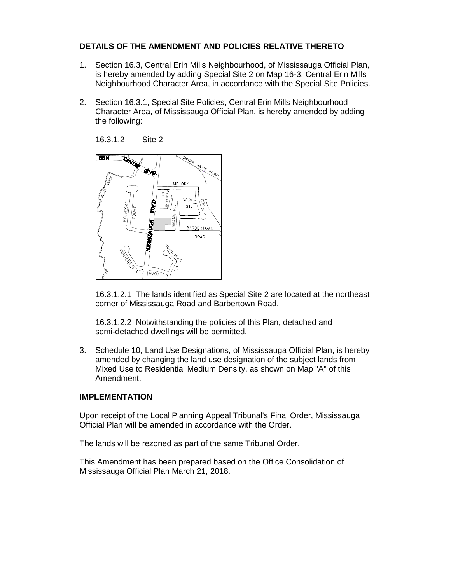### **DETAILS OF THE AMENDMENT AND POLICIES RELATIVE THERETO**

- 1. Section 16.3, Central Erin Mills Neighbourhood, of Mississauga Official Plan, is hereby amended by adding Special Site 2 on Map 16-3: Central Erin Mills Neighbourhood Character Area, in accordance with the Special Site Policies.
- 2. Section 16.3.1, Special Site Policies, Central Erin Mills Neighbourhood Character Area, of Mississauga Official Plan, is hereby amended by adding the following:



16.3.1.2.1 The lands identified as Special Site 2 are located at the northeast corner of Mississauga Road and Barbertown Road.

16.3.1.2.2 Notwithstanding the policies of this Plan, detached and semi-detached dwellings will be permitted.

3. Schedule 10, Land Use Designations, of Mississauga Official Plan, is hereby amended by changing the land use designation of the subject lands from Mixed Use to Residential Medium Density, as shown on Map "A" of this Amendment.

#### **IMPLEMENTATION**

Upon receipt of the Local Planning Appeal Tribunal's Final Order, Mississauga Official Plan will be amended in accordance with the Order.

The lands will be rezoned as part of the same Tribunal Order.

This Amendment has been prepared based on the Office Consolidation of Mississauga Official Plan March 21, 2018.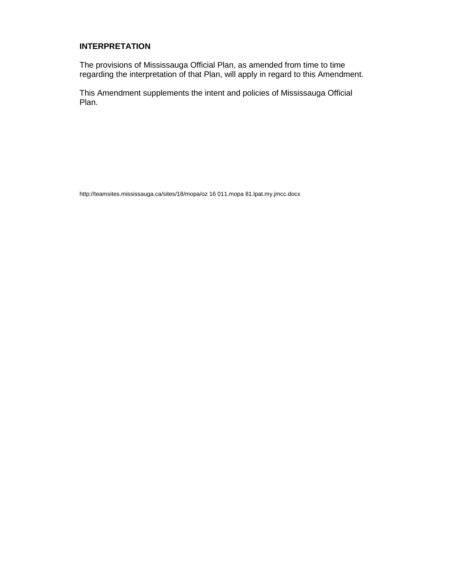### **INTERPRETATION**

The provisions of Mississauga Official Plan, as amended from time to time regarding the interpretation of that Plan, will apply in regard to this Amendment.

This Amendment supplements the intent and policies of Mississauga Official Plan.

http://teamsites.mississauga.ca/sites/18/mopa/oz 16 011.mopa 81.lpat.my.jmcc.docx